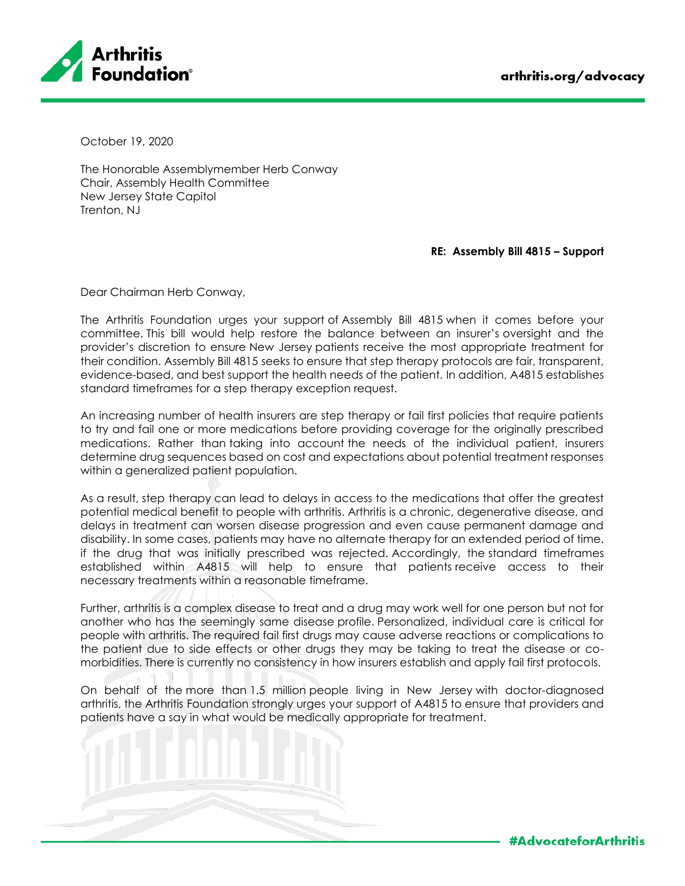

October 19, 2020

The Honorable Assemblymember Herb Conway Chair, Assembly Health Committee New Jersey State Capitol Trenton, NJ

## **RE: Assembly Bill 4815 – Support**

Dear Chairman Herb Conway,

The Arthritis Foundation urges your support of Assembly Bill 4815 when it comes before your committee. This bill would help restore the balance between an insurer's oversight and the provider's discretion to ensure New Jersey patients receive the most appropriate treatment for their condition. Assembly Bill 4815 seeks to ensure that step therapy protocols are fair, transparent, evidence-based, and best support the health needs of the patient. In addition, A4815 establishes standard timeframes for a step therapy exception request.

An increasing number of health insurers are step therapy or fail first policies that require patients to try and fail one or more medications before providing coverage for the originally prescribed medications. Rather than taking into account the needs of the individual patient, insurers determine drug sequences based on cost and expectations about potential treatment responses within a generalized patient population.

As a result, step therapy can lead to delays in access to the medications that offer the greatest potential medical benefit to people with arthritis. Arthritis is a chronic, degenerative disease, and delays in treatment can worsen disease progression and even cause permanent damage and disability. In some cases, patients may have no alternate therapy for an extended period of time. if the drug that was initially prescribed was rejected. Accordingly, the standard timeframes established within A4815 will help to ensure that patients receive access to their necessary treatments within a reasonable timeframe.

Further, arthritis is a complex disease to treat and a drug may work well for one person but not for another who has the seemingly same disease profile. Personalized, individual care is critical for people with arthritis. The required fail first drugs may cause adverse reactions or complications to the patient due to side effects or other drugs they may be taking to treat the disease or comorbidities. There is currently no consistency in how insurers establish and apply fail first protocols.

On behalf of the more than 1.5 million people living in New Jersey with doctor-diagnosed arthritis, the Arthritis Foundation strongly urges your support of A4815 to ensure that providers and patients have a say in what would be medically appropriate for treatment.